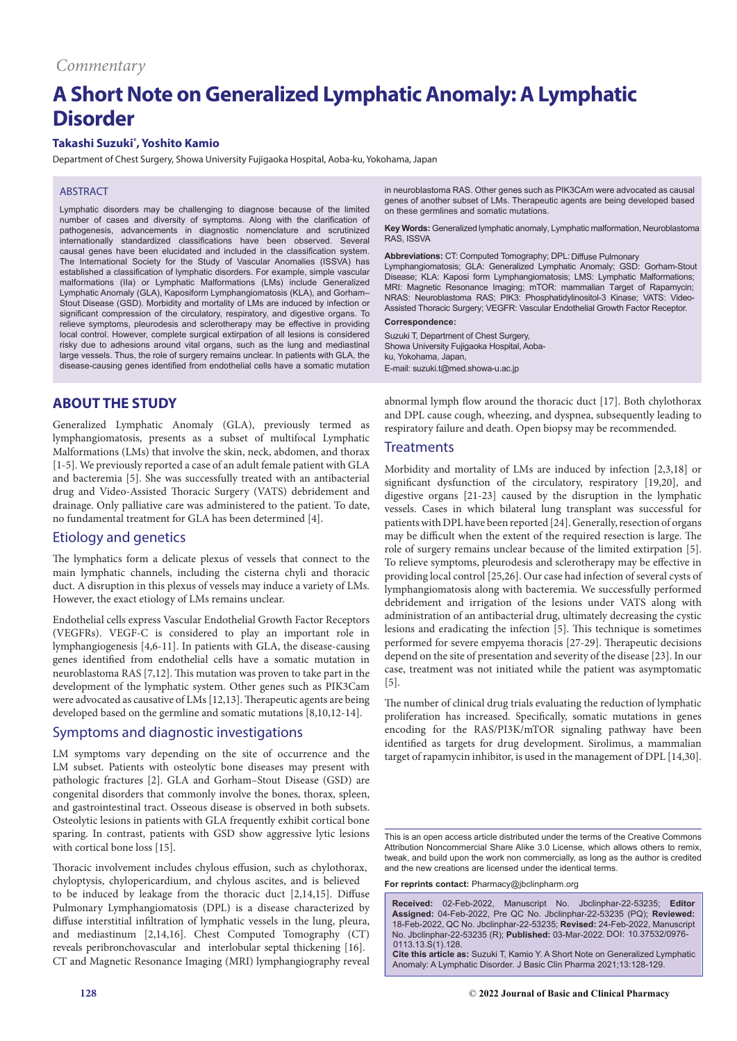# **A Short Note on Generalized Lymphatic Anomaly: A Lymphatic Disorder**

# **Takashi Suzuki\* , Yoshito Kamio**

Department of Chest Surgery, Showa University Fujigaoka Hospital, Aoba-ku, Yokohama, Japan

# ABSTRACT

Lymphatic disorders may be challenging to diagnose because of the limited number of cases and diversity of symptoms. Along with the clarification of pathogenesis, advancements in diagnostic nomenclature and scrutinized internationally standardized classifications have been observed. Several causal genes have been elucidated and included in the classification system. The International Society for the Study of Vascular Anomalies (ISSVA) has established a classification of lymphatic disorders. For example, simple vascular malformations (IIa) or Lymphatic Malformations (LMs) include Generalized Lymphatic Anomaly (GLA), Kaposiform Lymphangiomatosis (KLA), and Gorham– Stout Disease (GSD). Morbidity and mortality of LMs are induced by infection or significant compression of the circulatory, respiratory, and digestive organs. To relieve symptoms, pleurodesis and sclerotherapy may be effective in providing local control. However, complete surgical extirpation of all lesions is considered risky due to adhesions around vital organs, such as the lung and mediastinal large vessels. Thus, the role of surgery remains unclear. In patients with GLA, the disease-causing genes identified from endothelial cells have a somatic mutation

# **ABOUT THE STUDY**

Generalized Lymphatic Anomaly (GLA), previously termed as lymphangiomatosis, presents as a subset of multifocal Lymphatic Malformations (LMs) that involve the skin, neck, abdomen, and thorax [1-5]. We previously reported a case of an adult female patient with GLA and bacteremia [5]. She was successfully treated with an antibacterial drug and Video-Assisted Thoracic Surgery (VATS) debridement and drainage. Only palliative care was administered to the patient. To date, no fundamental treatment for GLA has been determined [4].

# Etiology and genetics

The lymphatics form a delicate plexus of vessels that connect to the main lymphatic channels, including the cisterna chyli and thoracic duct. A disruption in this plexus of vessels may induce a variety of LMs. However, the exact etiology of LMs remains unclear.

Endothelial cells express Vascular Endothelial Growth Factor Receptors (VEGFRs). VEGF-C is considered to play an important role in lymphangiogenesis [4,6-11]. In patients with GLA, the disease-causing genes identified from endothelial cells have a somatic mutation in neuroblastoma RAS [7,12]. This mutation was proven to take part in the development of the lymphatic system. Other genes such as PIK3Cam were advocated as causative of LMs [12,13]. Therapeutic agents are being developed based on the germline and somatic mutations [8,10,12-14].

### Symptoms and diagnostic investigations

LM symptoms vary depending on the site of occurrence and the LM subset. Patients with osteolytic bone diseases may present with pathologic fractures [2]. GLA and Gorham–Stout Disease (GSD) are congenital disorders that commonly involve the bones, thorax, spleen, and gastrointestinal tract. Osseous disease is observed in both subsets. Osteolytic lesions in patients with GLA frequently exhibit cortical bone sparing. In contrast, patients with GSD show aggressive lytic lesions with cortical bone loss [15].

Thoracic involvement includes chylous effusion, such as chylothorax, chyloptysis, chylopericardium, and chylous ascites, and is believed to be induced by leakage from the thoracic duct [2,14,15]. Diffuse Pulmonary Lymphangiomatosis (DPL) is a disease characterized by diffuse interstitial infiltration of lymphatic vessels in the lung, pleura, and mediastinum [2,14,16]. Chest Computed Tomography (CT) reveals peribronchovascular and interlobular septal thickening [16]. CT and Magnetic Resonance Imaging (MRI) lymphangiography reveal in neuroblastoma RAS. Other genes such as PIK3CAm were advocated as causal genes of another subset of LMs. Therapeutic agents are being developed based on these germlines and somatic mutations.

**Key Words:** Generalized lymphatic anomaly, Lymphatic malformation, Neuroblastoma RAS, ISSVA

#### **Abbreviations:** CT: Computed Tomography; DPL: Diffuse Pulmonary

Lymphangiomatosis; GLA: Generalized Lymphatic Anomaly; GSD: Gorham-Stout Disease; KLA: Kaposi form Lymphangiomatosis; LMS: Lymphatic Malformations; MRI: Magnetic Resonance Imaging; mTOR: mammalian Target of Rapamycin; NRAS: Neuroblastoma RAS; PIK3: Phosphatidylinositol-3 Kinase; VATS: Video-Assisted Thoracic Surgery; VEGFR: Vascular Endothelial Growth Factor Receptor.

#### **Correspondence:**

Suzuki T, Department of Chest Surgery, Showa University Fujigaoka Hospital, Aobaku, Yokohama, Japan, E-mail: suzuki.t@med.showa-u.ac.jp

abnormal lymph flow around the thoracic duct [17]. Both chylothorax and DPL cause cough, wheezing, and dyspnea, subsequently leading to respiratory failure and death. Open biopsy may be recommended.

### **Treatments**

Morbidity and mortality of LMs are induced by infection [2,3,18] or significant dysfunction of the circulatory, respiratory [19,20], and digestive organs [21-23] caused by the disruption in the lymphatic vessels. Cases in which bilateral lung transplant was successful for patients with DPL have been reported [24]. Generally, resection of organs may be difficult when the extent of the required resection is large. The role of surgery remains unclear because of the limited extirpation [5]. To relieve symptoms, pleurodesis and sclerotherapy may be effective in providing local control [25,26]. Our case had infection of several cysts of lymphangiomatosis along with bacteremia. We successfully performed debridement and irrigation of the lesions under VATS along with administration of an antibacterial drug, ultimately decreasing the cystic lesions and eradicating the infection [5]. This technique is sometimes performed for severe empyema thoracis [27-29]. Therapeutic decisions depend on the site of presentation and severity of the disease [23]. In our case, treatment was not initiated while the patient was asymptomatic [5].

The number of clinical drug trials evaluating the reduction of lymphatic proliferation has increased. Specifically, somatic mutations in genes encoding for the RAS/PI3K/mTOR signaling pathway have been identified as targets for drug development. Sirolimus, a mammalian target of rapamycin inhibitor, is used in the management of DPL [14,30].

This is an open access article distributed under the terms of the Creative Commons Attribution Noncommercial Share Alike 3.0 License, which allows others to remix, tweak, and build upon the work non commercially, as long as the author is credited and the new creations are licensed under the identical terms.

**For reprints contact:** Pharmacy@jbclinpharm.org

**Received:** 02-Feb-2022, Manuscript No. Jbclinphar-22-53235; **Editor Assigned:** 04-Feb-2022, Pre QC No. Jbclinphar-22-53235 (PQ); **Reviewed:**  18-Feb-2022, QC No. Jbclinphar-22-53235; **Revised:** 24-Feb-2022, Manuscript No. Jbclinphar-22-53235 (R); **Published:** 03-Mar-2022. DOI: 10.37532/0976- **Cite this article as:** Suzuki T, Kamio Y. A Short Note on Generalized Lymphatic 0113.13.S(1).128.

Anomaly: A Lymphatic Disorder. J Basic Clin Pharma 2021;13:128-129.